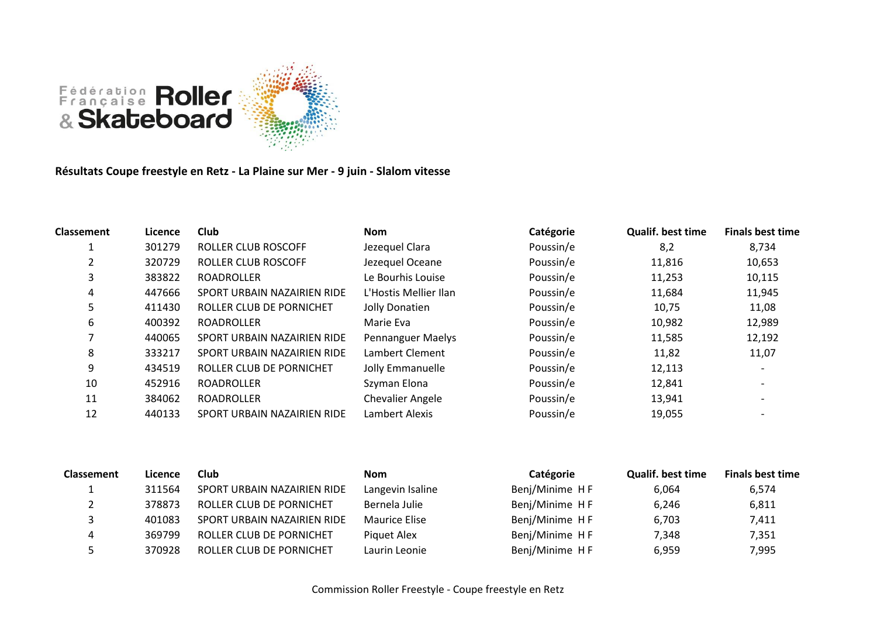

**Résultats Coupe freestyle en Retz - La Plaine sur Mer - 9 juin - Slalom vitesse**

| <b>Classement</b> | Licence | <b>Club</b>                 | <b>Nom</b>               | Catégorie | <b>Qualif. best time</b> | <b>Finals best time</b> |
|-------------------|---------|-----------------------------|--------------------------|-----------|--------------------------|-------------------------|
|                   | 301279  | <b>ROLLER CLUB ROSCOFF</b>  | Jezequel Clara           | Poussin/e | 8,2                      | 8,734                   |
|                   | 320729  | ROLLER CLUB ROSCOFF         | Jezequel Oceane          | Poussin/e | 11,816                   | 10,653                  |
| 3                 | 383822  | <b>ROADROLLER</b>           | Le Bourhis Louise        | Poussin/e | 11,253                   | 10,115                  |
| 4                 | 447666  | SPORT URBAIN NAZAIRIEN RIDE | L'Hostis Mellier Ilan    | Poussin/e | 11,684                   | 11,945                  |
| 5                 | 411430  | ROLLER CLUB DE PORNICHET    | Jolly Donatien           | Poussin/e | 10,75                    | 11,08                   |
| 6                 | 400392  | <b>ROADROLLER</b>           | Marie Eva                | Poussin/e | 10,982                   | 12,989                  |
|                   | 440065  | SPORT URBAIN NAZAIRIEN RIDE | <b>Pennanguer Maelys</b> | Poussin/e | 11,585                   | 12,192                  |
| 8                 | 333217  | SPORT URBAIN NAZAIRIEN RIDE | Lambert Clement          | Poussin/e | 11,82                    | 11,07                   |
| 9                 | 434519  | ROLLER CLUB DE PORNICHET    | Jolly Emmanuelle         | Poussin/e | 12,113                   |                         |
| 10                | 452916  | <b>ROADROLLER</b>           | Szyman Elona             | Poussin/e | 12,841                   |                         |
| 11                | 384062  | <b>ROADROLLER</b>           | <b>Chevalier Angele</b>  | Poussin/e | 13,941                   |                         |
| 12                | 440133  | SPORT URBAIN NAZAIRIEN RIDE | Lambert Alexis           | Poussin/e | 19,055                   |                         |

| <b>Classement</b> | Licence | <b>Club</b>                 | <b>Nom</b>       | Catégorie      | <b>Qualif. best time</b> | <b>Finals best time</b> |
|-------------------|---------|-----------------------------|------------------|----------------|--------------------------|-------------------------|
|                   | 311564  | SPORT URBAIN NAZAIRIEN RIDE | Langevin Isaline | Benj/Minime HF | 6,064                    | 6,574                   |
|                   | 378873  | ROLLER CLUB DE PORNICHET    | Bernela Julie    | Benj/Minime HF | 6,246                    | 6,811                   |
|                   | 401083  | SPORT URBAIN NAZAIRIEN RIDE | Maurice Elise    | Benj/Minime HF | 6,703                    | 7,411                   |
|                   | 369799  | ROLLER CLUB DE PORNICHET    | Piquet Alex      | Benj/Minime HF | 7,348                    | 7,351                   |
|                   | 370928  | ROLLER CLUB DE PORNICHET    | Laurin Leonie    | Benj/Minime HF | 6,959                    | 7,995                   |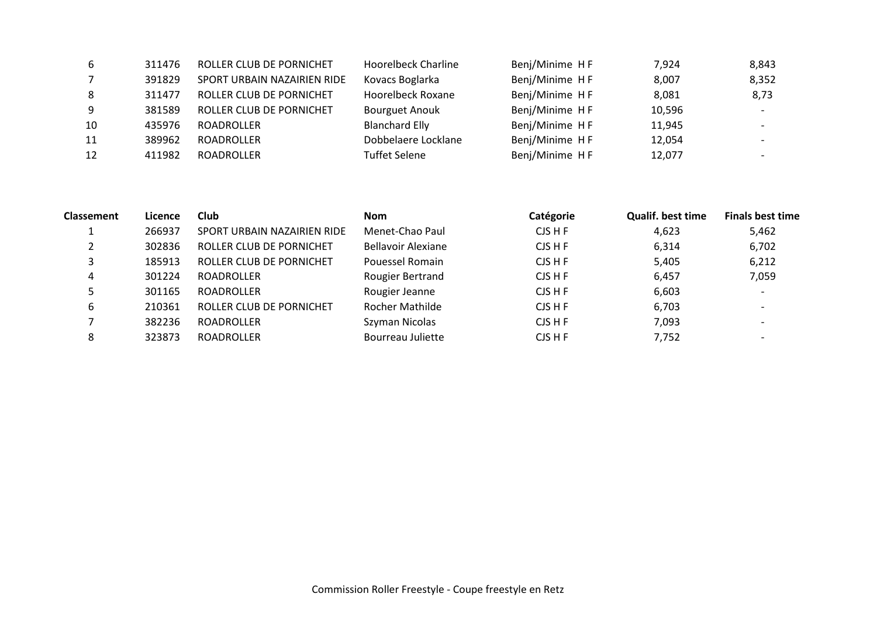| -6             | 311476 | ROLLER CLUB DE PORNICHET    | <b>Hoorelbeck Charline</b> | Benj/Minime HF | 7,924  | 8,843 |
|----------------|--------|-----------------------------|----------------------------|----------------|--------|-------|
| $\overline{7}$ | 391829 | SPORT URBAIN NAZAIRIEN RIDE | Kovacs Boglarka            | Benj/Minime HF | 8,007  | 8,352 |
| 8              | 311477 | ROLLER CLUB DE PORNICHET    | Hoorelbeck Roxane          | Benj/Minime HF | 8,081  | 8,73  |
| -9             | 381589 | ROLLER CLUB DE PORNICHET    | <b>Bourguet Anouk</b>      | Benj/Minime HF | 10,596 |       |
| 10             | 435976 | ROADROLLER                  | <b>Blanchard Elly</b>      | Benj/Minime HF | 11,945 |       |
| 11             | 389962 | ROADROLLER                  | Dobbelaere Locklane        | Benj/Minime HF | 12,054 |       |
| 12             | 411982 | ROADROLLER                  | <b>Tuffet Selene</b>       | Benj/Minime HF | 12,077 |       |

| <b>Classement</b> | Licence | <b>Club</b>                 | <b>Nom</b>         | Catégorie | <b>Qualif. best time</b> | <b>Finals best time</b> |
|-------------------|---------|-----------------------------|--------------------|-----------|--------------------------|-------------------------|
|                   | 266937  | SPORT URBAIN NAZAIRIEN RIDE | Menet-Chao Paul    | CJSHF     | 4,623                    | 5,462                   |
|                   | 302836  | ROLLER CLUB DE PORNICHET    | Bellavoir Alexiane | CJS H F   | 6,314                    | 6,702                   |
|                   | 185913  | ROLLER CLUB DE PORNICHET    | Pouessel Romain    | CJS H F   | 5,405                    | 6,212                   |
| 4                 | 301224  | ROADROLLER                  | Rougier Bertrand   | CJS H F   | 6,457                    | 7,059                   |
|                   | 301165  | <b>ROADROLLER</b>           | Rougier Jeanne     | CJS H F   | 6,603                    |                         |
| 6                 | 210361  | ROLLER CLUB DE PORNICHET    | Rocher Mathilde    | CJS H F   | 6,703                    |                         |
|                   | 382236  | <b>ROADROLLER</b>           | Szyman Nicolas     | CJSHF     | 7,093                    |                         |
| 8                 | 323873  | <b>ROADROLLER</b>           | Bourreau Juliette  | CJS H F   | 7,752                    |                         |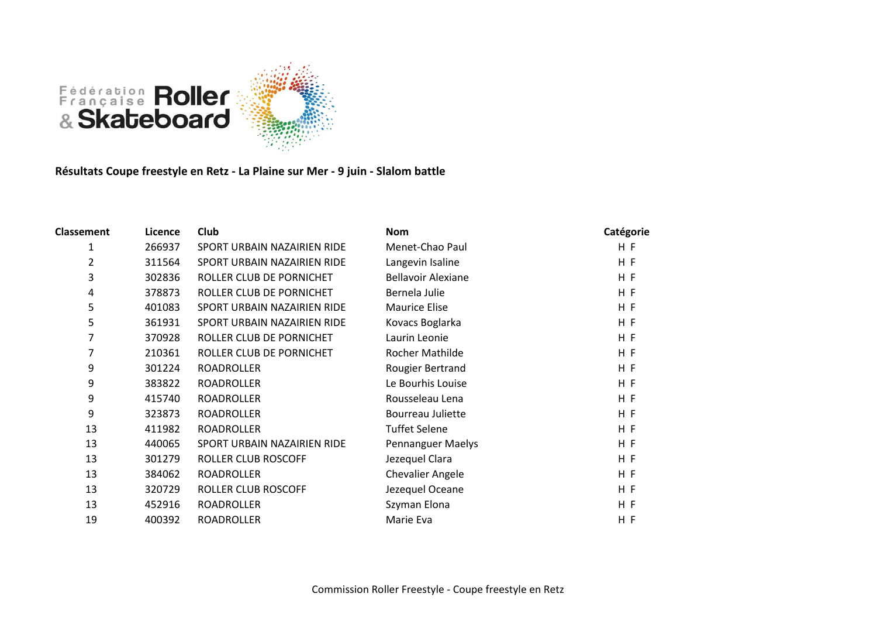

**Résultats Coupe freestyle en Retz - La Plaine sur Mer - 9 juin - Slalom battle**

| <b>Classement</b> | Licence | Club                        | <b>Nom</b>                | Catégorie |
|-------------------|---------|-----------------------------|---------------------------|-----------|
| 1                 | 266937  | SPORT URBAIN NAZAIRIEN RIDE | Menet-Chao Paul           | H F       |
| 2                 | 311564  | SPORT URBAIN NAZAIRIEN RIDE | Langevin Isaline          | H F       |
| 3                 | 302836  | ROLLER CLUB DE PORNICHET    | <b>Bellavoir Alexiane</b> | H F       |
| 4                 | 378873  | ROLLER CLUB DE PORNICHET    | Bernela Julie             | H F       |
| 5                 | 401083  | SPORT URBAIN NAZAIRIEN RIDE | <b>Maurice Elise</b>      | H F       |
| 5                 | 361931  | SPORT URBAIN NAZAIRIEN RIDE | Kovacs Boglarka           | H F       |
| 7                 | 370928  | ROLLER CLUB DE PORNICHET    | Laurin Leonie             | H F       |
| 7                 | 210361  | ROLLER CLUB DE PORNICHET    | <b>Rocher Mathilde</b>    | H F       |
| 9                 | 301224  | <b>ROADROLLER</b>           | Rougier Bertrand          | H F       |
| 9                 | 383822  | ROADROLLER                  | Le Bourhis Louise         | H F       |
| 9                 | 415740  | ROADROLLER                  | Rousseleau Lena           | H F       |
| 9                 | 323873  | <b>ROADROLLER</b>           | Bourreau Juliette         | H F       |
| 13                | 411982  | <b>ROADROLLER</b>           | <b>Tuffet Selene</b>      | H F       |
| 13                | 440065  | SPORT URBAIN NAZAIRIEN RIDE | <b>Pennanguer Maelys</b>  | H F       |
| 13                | 301279  | ROLLER CLUB ROSCOFF         | Jezequel Clara            | H F       |
| 13                | 384062  | <b>ROADROLLER</b>           | <b>Chevalier Angele</b>   | HF        |
| 13                | 320729  | ROLLER CLUB ROSCOFF         | Jezequel Oceane           | H F       |
| 13                | 452916  | <b>ROADROLLER</b>           | Szyman Elona              | H F       |
| 19                | 400392  | <b>ROADROLLER</b>           | Marie Eva                 | H F       |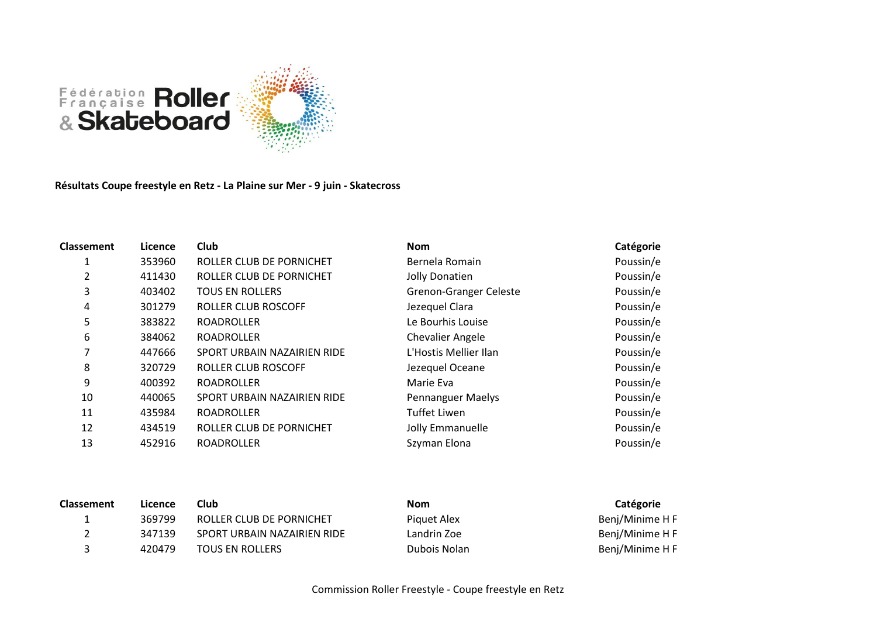

**Résultats Coupe freestyle en Retz - La Plaine sur Mer - 9 juin - Skatecross**

| Licence | Club                        | <b>Nom</b>                    | Catégorie |
|---------|-----------------------------|-------------------------------|-----------|
| 353960  | ROLLER CLUB DE PORNICHET    | Bernela Romain                | Poussin/e |
| 411430  | ROLLER CLUB DE PORNICHET    | Jolly Donatien                | Poussin/e |
| 403402  | <b>TOUS EN ROLLERS</b>      | <b>Grenon-Granger Celeste</b> | Poussin/e |
| 301279  | ROLLER CLUB ROSCOFF         | Jezequel Clara                | Poussin/e |
| 383822  | <b>ROADROLLER</b>           | Le Bourhis Louise             | Poussin/e |
| 384062  | <b>ROADROLLER</b>           | <b>Chevalier Angele</b>       | Poussin/e |
| 447666  | SPORT URBAIN NAZAIRIEN RIDE | L'Hostis Mellier Ilan         | Poussin/e |
| 320729  | ROLLER CLUB ROSCOFF         | Jezequel Oceane               | Poussin/e |
| 400392  | <b>ROADROLLER</b>           | Marie Eva                     | Poussin/e |
| 440065  | SPORT URBAIN NAZAIRIEN RIDE | <b>Pennanguer Maelys</b>      | Poussin/e |
| 435984  | <b>ROADROLLER</b>           | <b>Tuffet Liwen</b>           | Poussin/e |
| 434519  | ROLLER CLUB DE PORNICHET    | Jolly Emmanuelle              | Poussin/e |
| 452916  | <b>ROADROLLER</b>           | Szyman Elona                  | Poussin/e |
|         |                             |                               |           |

| <b>Classement</b> | Licence | Club                        | <b>Nom</b>   | Catégorie       |
|-------------------|---------|-----------------------------|--------------|-----------------|
|                   | 369799  | ROLLER CLUB DE PORNICHET    | Piquet Alex  | Benj/Minime H F |
|                   | 347139  | SPORT URBAIN NAZAIRIEN RIDE | Landrin Zoe  | Benj/Minime H F |
|                   | 420479  | <b>TOUS EN ROLLERS</b>      | Dubois Nolan | Benj/Minime H F |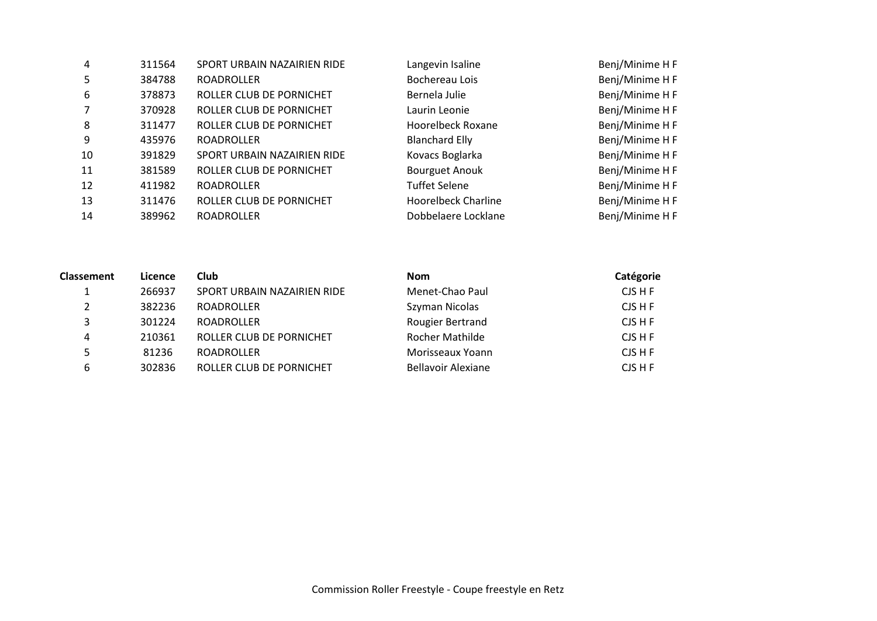| 4              | 311564 | SPORT URBAIN NAZAIRIEN RIDE | Langevin Isaline      | Benj/Minime H F |
|----------------|--------|-----------------------------|-----------------------|-----------------|
| 5              | 384788 | <b>ROADROLLER</b>           | Bochereau Lois        | Benj/Minime H F |
| 6              | 378873 | ROLLER CLUB DE PORNICHET    | Bernela Julie         | Benj/Minime H F |
| $\overline{7}$ | 370928 | ROLLER CLUB DE PORNICHET    | Laurin Leonie         | Benj/Minime H F |
| 8              | 311477 | ROLLER CLUB DE PORNICHET    | Hoorelbeck Roxane     | Benj/Minime H F |
| 9              | 435976 | <b>ROADROLLER</b>           | <b>Blanchard Elly</b> | Benj/Minime H F |
| 10             | 391829 | SPORT URBAIN NAZAIRIEN RIDE | Kovacs Boglarka       | Benj/Minime H F |
| 11             | 381589 | ROLLER CLUB DE PORNICHET    | <b>Bourguet Anouk</b> | Benj/Minime H F |
| 12             | 411982 | <b>ROADROLLER</b>           | <b>Tuffet Selene</b>  | Benj/Minime H F |
| 13             | 311476 | ROLLER CLUB DE PORNICHET    | Hoorelbeck Charline   | Benj/Minime H F |
| 14             | 389962 | <b>ROADROLLER</b>           | Dobbelaere Locklane   | Benj/Minime H F |

| <b>Classement</b> | Licence | Club                        | <b>Nom</b>                | Catégorie |
|-------------------|---------|-----------------------------|---------------------------|-----------|
|                   | 266937  | SPORT URBAIN NAZAIRIEN RIDE | Menet-Chao Paul           | CJS H F   |
|                   | 382236  | <b>ROADROLLER</b>           | Szyman Nicolas            | CJS H F   |
|                   | 301224  | <b>ROADROLLER</b>           | Rougier Bertrand          | CJS H F   |
| 4                 | 210361  | ROLLER CLUB DE PORNICHET    | Rocher Mathilde           | CJS H F   |
|                   | 81236   | <b>ROADROLLER</b>           | Morisseaux Yoann          | CJS H F   |
| 6                 | 302836  | ROLLER CLUB DE PORNICHET    | <b>Bellavoir Alexiane</b> | CJS H F   |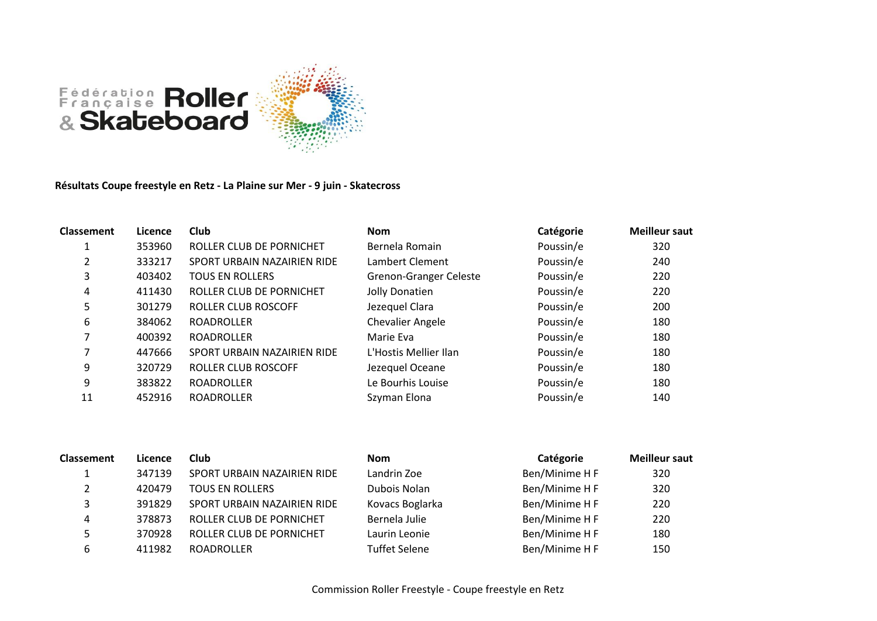



**Résultats Coupe freestyle en Retz - La Plaine sur Mer - 9 juin - Skatecross**

| <b>Classement</b> | Licence | Club                        | <b>Nom</b>                    | Catégorie | <b>Meilleur saut</b> |
|-------------------|---------|-----------------------------|-------------------------------|-----------|----------------------|
|                   | 353960  | ROLLER CLUB DE PORNICHET    | Bernela Romain                | Poussin/e | 320                  |
| 2                 | 333217  | SPORT URBAIN NAZAIRIEN RIDE | Lambert Clement               | Poussin/e | 240                  |
| 3                 | 403402  | <b>TOUS EN ROLLERS</b>      | <b>Grenon-Granger Celeste</b> | Poussin/e | 220                  |
| 4                 | 411430  | ROLLER CLUB DE PORNICHET    | Jolly Donatien                | Poussin/e | 220                  |
| 5                 | 301279  | <b>ROLLER CLUB ROSCOFF</b>  | Jezequel Clara                | Poussin/e | 200                  |
| 6                 | 384062  | <b>ROADROLLER</b>           | <b>Chevalier Angele</b>       | Poussin/e | 180                  |
|                   | 400392  | <b>ROADROLLER</b>           | Marie Eva                     | Poussin/e | 180                  |
|                   | 447666  | SPORT URBAIN NAZAIRIEN RIDE | L'Hostis Mellier Ilan         | Poussin/e | 180                  |
| 9                 | 320729  | ROLLER CLUB ROSCOFF         | Jezequel Oceane               | Poussin/e | 180                  |
| 9                 | 383822  | <b>ROADROLLER</b>           | Le Bourhis Louise             | Poussin/e | 180                  |
| 11                | 452916  | <b>ROADROLLER</b>           | Szyman Elona                  | Poussin/e | 140                  |

| <b>Classement</b> | Licence | Club                        | <b>Nom</b>           | Catégorie      | <b>Meilleur saut</b> |
|-------------------|---------|-----------------------------|----------------------|----------------|----------------------|
|                   | 347139  | SPORT URBAIN NAZAIRIEN RIDE | Landrin Zoe          | Ben/Minime H F | 320                  |
|                   | 420479  | <b>TOUS EN ROLLERS</b>      | Dubois Nolan         | Ben/Minime H F | 320                  |
|                   | 391829  | SPORT URBAIN NAZAIRIEN RIDE | Kovacs Boglarka      | Ben/Minime H F | 220                  |
| 4                 | 378873  | ROLLER CLUB DE PORNICHET    | Bernela Julie        | Ben/Minime H F | 220                  |
|                   | 370928  | ROLLER CLUB DE PORNICHET    | Laurin Leonie        | Ben/Minime H F | 180                  |
| 6                 | 411982  | <b>ROADROLLER</b>           | <b>Tuffet Selene</b> | Ben/Minime H F | 150                  |